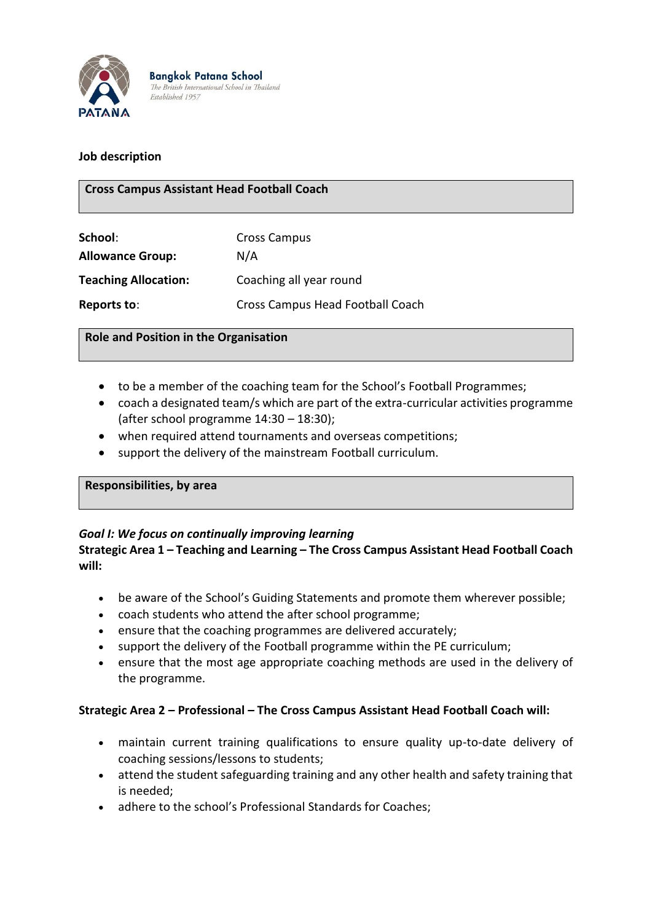

**Bangkok Patana School** The British International School in Thailand Established 1957

## **Job description**

## **Cross Campus Assistant Head Football Coach**

| School:                     | <b>Cross Campus</b><br>N/A       |  |
|-----------------------------|----------------------------------|--|
| <b>Allowance Group:</b>     |                                  |  |
| <b>Teaching Allocation:</b> | Coaching all year round          |  |
| Reports to:                 | Cross Campus Head Football Coach |  |

### **Role and Position in the Organisation**

- to be a member of the coaching team for the School's Football Programmes;
- coach a designated team/s which are part of the extra-curricular activities programme (after school programme 14:30 – 18:30);
- when required attend tournaments and overseas competitions;
- support the delivery of the mainstream Football curriculum.

#### **Responsibilities, by area**

## *Goal I: We focus on continually improving learning*

## **Strategic Area 1 – Teaching and Learning – The Cross Campus Assistant Head Football Coach will:**

- be aware of the School's Guiding Statements and promote them wherever possible;
- coach students who attend the after school programme;
- ensure that the coaching programmes are delivered accurately;
- support the delivery of the Football programme within the PE curriculum;
- ensure that the most age appropriate coaching methods are used in the delivery of the programme.

#### **Strategic Area 2 – Professional – The Cross Campus Assistant Head Football Coach will:**

- maintain current training qualifications to ensure quality up-to-date delivery of coaching sessions/lessons to students;
- attend the student safeguarding training and any other health and safety training that is needed;
- adhere to the school's Professional Standards for Coaches;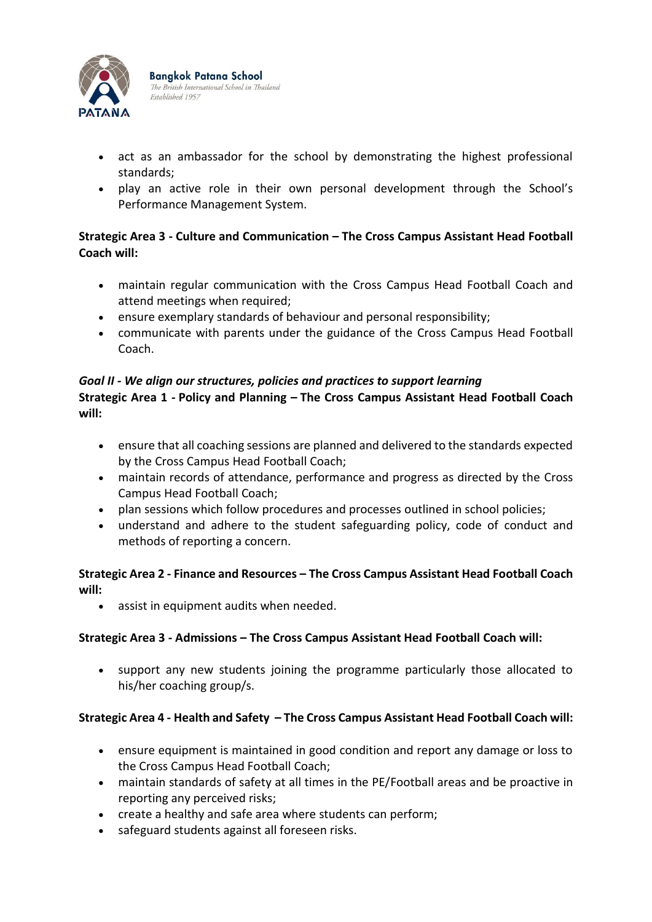

**Bangkok Patana School** The British International School in Thailand Established 1957

- act as an ambassador for the school by demonstrating the highest professional standards;
- play an active role in their own personal development through the School's Performance Management System.

# **Strategic Area 3 - Culture and Communication – The Cross Campus Assistant Head Football Coach will:**

- maintain regular communication with the Cross Campus Head Football Coach and attend meetings when required;
- ensure exemplary standards of behaviour and personal responsibility;
- communicate with parents under the guidance of the Cross Campus Head Football Coach.

# *Goal II - We align our structures, policies and practices to support learning*

# **Strategic Area 1 - Policy and Planning – The Cross Campus Assistant Head Football Coach will:**

- ensure that all coaching sessions are planned and delivered to the standards expected by the Cross Campus Head Football Coach;
- maintain records of attendance, performance and progress as directed by the Cross Campus Head Football Coach;
- plan sessions which follow procedures and processes outlined in school policies;
- understand and adhere to the student safeguarding policy, code of conduct and methods of reporting a concern.

# **Strategic Area 2 - Finance and Resources – The Cross Campus Assistant Head Football Coach will:**

• assist in equipment audits when needed.

# **Strategic Area 3 - Admissions – The Cross Campus Assistant Head Football Coach will:**

• support any new students joining the programme particularly those allocated to his/her coaching group/s.

# **Strategic Area 4 - Health and Safety – The Cross Campus Assistant Head Football Coach will:**

- ensure equipment is maintained in good condition and report any damage or loss to the Cross Campus Head Football Coach;
- maintain standards of safety at all times in the PE/Football areas and be proactive in reporting any perceived risks;
- create a healthy and safe area where students can perform;
- safeguard students against all foreseen risks.